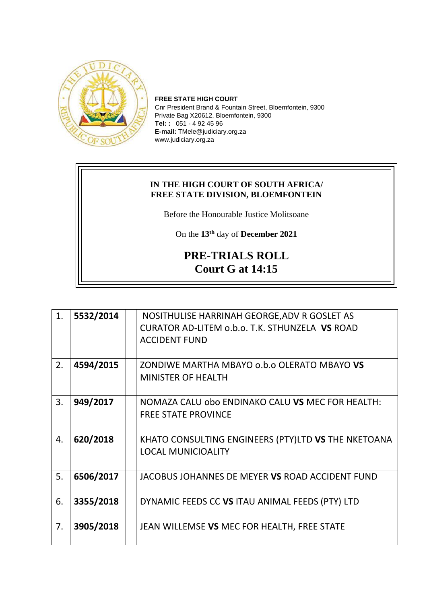

**FREE STATE HIGH COURT** Cnr President Brand & Fountain Street, Bloemfontein, 9300 Private Bag X20612, Bloemfontein, 9300 **Tel: :** 051 - 4 92 45 96 **E-mail:** TMele@judiciary.org.za www.judiciary.org.za

## **IN THE HIGH COURT OF SOUTH AFRICA/ FREE STATE DIVISION, BLOEMFONTEIN**

Before the Honourable Justice Molitsoane

On the **13th** day of **December 2021**

## **PRE-TRIALS ROLL Court G at 14:15**

| 1. | 5532/2014 | NOSITHULISE HARRINAH GEORGE, ADV R GOSLET AS        |
|----|-----------|-----------------------------------------------------|
|    |           | CURATOR AD-LITEM o.b.o. T.K. STHUNZELA VS ROAD      |
|    |           | <b>ACCIDENT FUND</b>                                |
|    |           |                                                     |
| 2. | 4594/2015 | ZONDIWE MARTHA MBAYO o.b.o OLERATO MBAYO VS         |
|    |           | <b>MINISTER OF HEALTH</b>                           |
|    |           |                                                     |
| 3. | 949/2017  | NOMAZA CALU obo ENDINAKO CALU VS MEC FOR HEALTH:    |
|    |           | <b>FREE STATE PROVINCE</b>                          |
|    |           |                                                     |
| 4. | 620/2018  | KHATO CONSULTING ENGINEERS (PTY)LTD VS THE NKETOANA |
|    |           | <b>LOCAL MUNICIOALITY</b>                           |
|    |           |                                                     |
| 5. | 6506/2017 | JACOBUS JOHANNES DE MEYER VS ROAD ACCIDENT FUND     |
|    |           |                                                     |
| 6. | 3355/2018 | DYNAMIC FEEDS CC VS ITAU ANIMAL FEEDS (PTY) LTD     |
|    |           |                                                     |
| 7. | 3905/2018 | JEAN WILLEMSE VS MEC FOR HEALTH, FREE STATE         |
|    |           |                                                     |
|    |           |                                                     |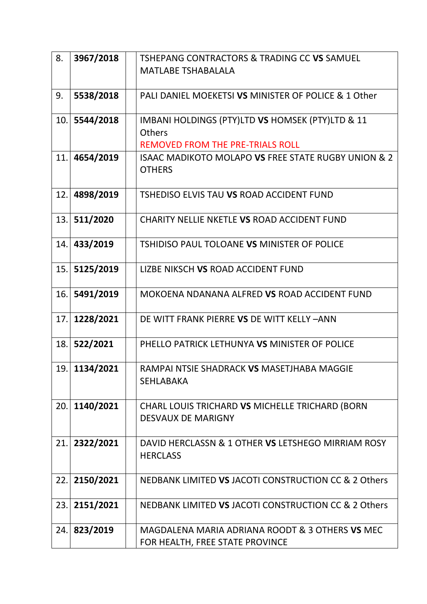| 8.  | 3967/2018 | TSHEPANG CONTRACTORS & TRADING CC VS SAMUEL          |
|-----|-----------|------------------------------------------------------|
|     |           | <b>MATLABE TSHABALALA</b>                            |
|     |           |                                                      |
| 9.  | 5538/2018 | PALI DANIEL MOEKETSI VS MINISTER OF POLICE & 1 Other |
| 10. | 5544/2018 | IMBANI HOLDINGS (PTY)LTD VS HOMSEK (PTY)LTD & 11     |
|     |           | <b>Others</b>                                        |
|     |           | <b>REMOVED FROM THE PRE-TRIALS ROLL</b>              |
| 11. | 4654/2019 | ISAAC MADIKOTO MOLAPO VS FREE STATE RUGBY UNION & 2  |
|     |           | <b>OTHERS</b>                                        |
|     |           |                                                      |
| 12. | 4898/2019 | TSHEDISO ELVIS TAU VS ROAD ACCIDENT FUND             |
| 13. | 511/2020  | CHARITY NELLIE NKETLE VS ROAD ACCIDENT FUND          |
|     |           |                                                      |
| 14. | 433/2019  | TSHIDISO PAUL TOLOANE VS MINISTER OF POLICE          |
|     |           |                                                      |
| 15. | 5125/2019 | LIZBE NIKSCH VS ROAD ACCIDENT FUND                   |
|     |           |                                                      |
| 16. | 5491/2019 | MOKOENA NDANANA ALFRED VS ROAD ACCIDENT FUND         |
|     |           |                                                      |
| 17. | 1228/2021 | DE WITT FRANK PIERRE VS DE WITT KELLY-ANN            |
|     |           |                                                      |
| 18. | 522/2021  | PHELLO PATRICK LETHUNYA VS MINISTER OF POLICE        |
| 19. | 1134/2021 | RAMPAI NTSIE SHADRACK VS MASETJHABA MAGGIE           |
|     |           | <b>SEHLABAKA</b>                                     |
|     |           |                                                      |
| 20. | 1140/2021 | CHARL LOUIS TRICHARD VS MICHELLE TRICHARD (BORN      |
|     |           | <b>DESVAUX DE MARIGNY</b>                            |
|     |           |                                                      |
| 21. | 2322/2021 | DAVID HERCLASSN & 1 OTHER VS LETSHEGO MIRRIAM ROSY   |
|     |           | <b>HERCLASS</b>                                      |
|     |           |                                                      |
| 22. | 2150/2021 | NEDBANK LIMITED VS JACOTI CONSTRUCTION CC & 2 Others |
| 23. | 2151/2021 | NEDBANK LIMITED VS JACOTI CONSTRUCTION CC & 2 Others |
|     |           |                                                      |
| 24. | 823/2019  | MAGDALENA MARIA ADRIANA ROODT & 3 OTHERS VS MEC      |
|     |           | FOR HEALTH, FREE STATE PROVINCE                      |